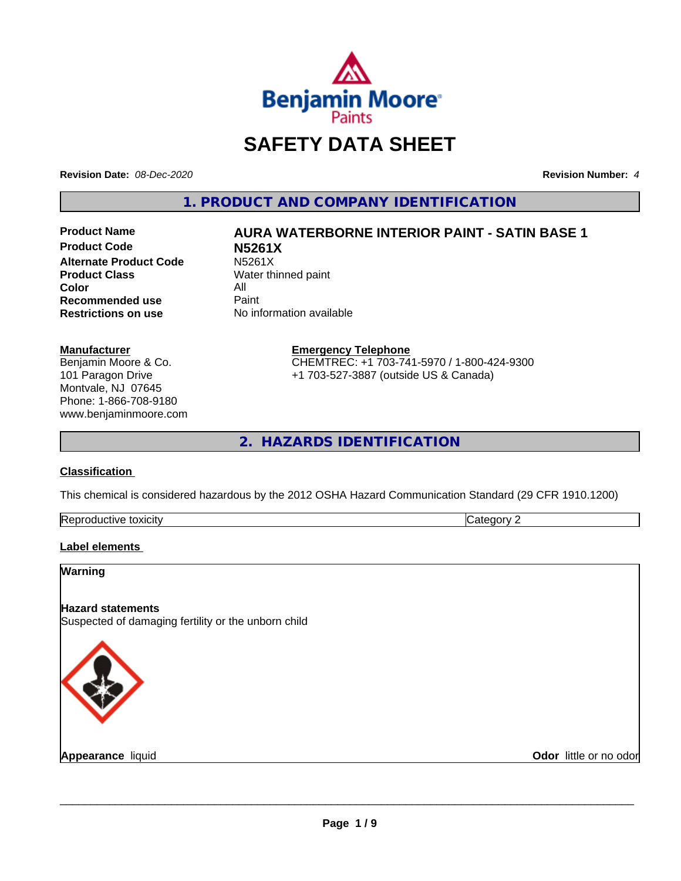

## **SAFETY DATA SHEET**

**Revision Date:** *08-Dec-2020* **Revision Number:** *4*

**1. PRODUCT AND COMPANY IDENTIFICATION**

**Product Code N5261X Alternate Product Code M5261X**<br>**Product Class** Water th **Color** All<br> **Recommended use** Paint **Recommended use**<br>Restrictions on use

## **Product Name AURA WATERBORNE INTERIOR PAINT - SATIN BASE 1**

**Water thinned paint No information available** 

#### **Manufacturer**

Benjamin Moore & Co. 101 Paragon Drive Montvale, NJ 07645 Phone: 1-866-708-9180 www.benjaminmoore.com

#### **Emergency Telephone** CHEMTREC: +1 703-741-5970 / 1-800-424-9300 +1 703-527-3887 (outside US & Canada)

**2. HAZARDS IDENTIFICATION**

#### **Classification**

This chemical is considered hazardous by the 2012 OSHA Hazard Communication Standard (29 CFR 1910.1200)

| $\sim$<br>toxicity<br><b>IRADI</b><br>evit≏<br>oauct. | $\sim$<br>--<br>. . |
|-------------------------------------------------------|---------------------|

#### **Label elements**

# **Warning Hazard statements** Suspected of damaging fertility or the unborn child

**Appearance** liquid

**Odor** little or no odor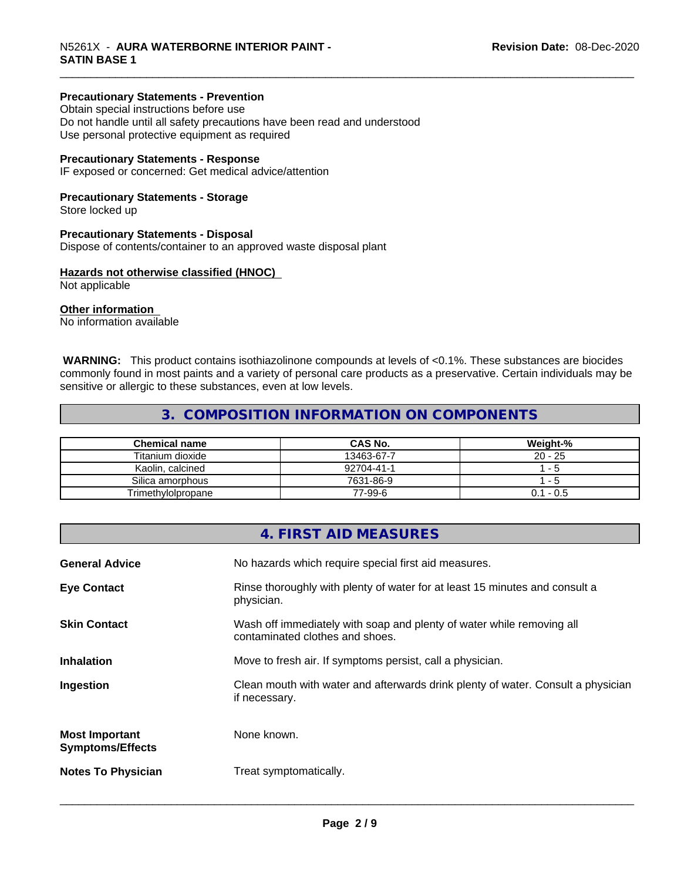#### **Precautionary Statements - Prevention**

Obtain special instructions before use Do not handle until all safety precautions have been read and understood Use personal protective equipment as required

#### **Precautionary Statements - Response**

IF exposed or concerned: Get medical advice/attention

#### **Precautionary Statements - Storage**

Store locked up

#### **Precautionary Statements - Disposal**

Dispose of contents/container to an approved waste disposal plant

#### **Hazards not otherwise classified (HNOC)**

Not applicable

#### **Other information**

No information available

 **WARNING:** This product contains isothiazolinone compounds at levels of <0.1%. These substances are biocides commonly found in most paints and a variety of personal care products as a preservative. Certain individuals may be sensitive or allergic to these substances, even at low levels.

#### **3. COMPOSITION INFORMATION ON COMPONENTS**

| <b>Chemical name</b> | <b>CAS No.</b> | Weight-%     |
|----------------------|----------------|--------------|
| Titanium dioxide     | 13463-67-7     | $20 - 25$    |
| Kaolin, calcined     | 92704-41-1     | - 5          |
| Silica amorphous     | 7631-86-9      | - 5          |
| Trimethylolpropane   | 77-99-6        | - 0.5<br>0.1 |

| 4. FIRST AID MEASURES                                                          |                                                                                  |
|--------------------------------------------------------------------------------|----------------------------------------------------------------------------------|
| <b>General Advice</b><br>No hazards which require special first aid measures.  |                                                                                  |
| <b>Eye Contact</b><br>physician.                                               | Rinse thoroughly with plenty of water for at least 15 minutes and consult a      |
| <b>Skin Contact</b><br>contaminated clothes and shoes.                         | Wash off immediately with soap and plenty of water while removing all            |
| <b>Inhalation</b><br>Move to fresh air. If symptoms persist, call a physician. |                                                                                  |
| Ingestion<br>if necessary.                                                     | Clean mouth with water and afterwards drink plenty of water. Consult a physician |
| None known.<br><b>Most Important</b><br><b>Symptoms/Effects</b>                |                                                                                  |
| <b>Notes To Physician</b><br>Treat symptomatically.                            |                                                                                  |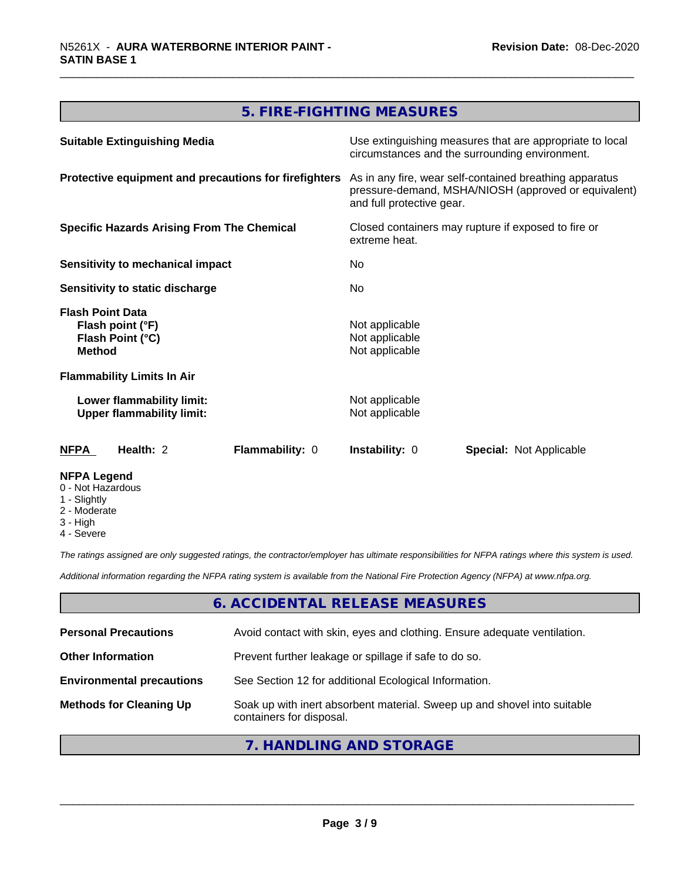#### **5. FIRE-FIGHTING MEASURES**

| <b>Suitable Extinguishing Media</b>                                              | Use extinguishing measures that are appropriate to local<br>circumstances and the surrounding environment.                                   |
|----------------------------------------------------------------------------------|----------------------------------------------------------------------------------------------------------------------------------------------|
| Protective equipment and precautions for firefighters                            | As in any fire, wear self-contained breathing apparatus<br>pressure-demand, MSHA/NIOSH (approved or equivalent)<br>and full protective gear. |
| <b>Specific Hazards Arising From The Chemical</b>                                | Closed containers may rupture if exposed to fire or<br>extreme heat.                                                                         |
| Sensitivity to mechanical impact                                                 | No.                                                                                                                                          |
| Sensitivity to static discharge                                                  | No.                                                                                                                                          |
| <b>Flash Point Data</b><br>Flash point (°F)<br>Flash Point (°C)<br><b>Method</b> | Not applicable<br>Not applicable<br>Not applicable                                                                                           |
| <b>Flammability Limits In Air</b>                                                |                                                                                                                                              |
| Lower flammability limit:<br><b>Upper flammability limit:</b>                    | Not applicable<br>Not applicable                                                                                                             |
| Health: 2<br><b>Flammability: 0</b><br><b>NFPA</b>                               | <b>Instability: 0</b><br><b>Special: Not Applicable</b>                                                                                      |
| <b>NFPA Legend</b><br>0 - Not Hazardous<br>1 - Slightly                          |                                                                                                                                              |

- 2 Moderate
- 3 High
- 4 Severe

*The ratings assigned are only suggested ratings, the contractor/employer has ultimate responsibilities for NFPA ratings where this system is used.*

*Additional information regarding the NFPA rating system is available from the National Fire Protection Agency (NFPA) at www.nfpa.org.*

#### **6. ACCIDENTAL RELEASE MEASURES**

| <b>Personal Precautions</b>      | Avoid contact with skin, eyes and clothing. Ensure adequate ventilation.                             |
|----------------------------------|------------------------------------------------------------------------------------------------------|
| <b>Other Information</b>         | Prevent further leakage or spillage if safe to do so.                                                |
| <b>Environmental precautions</b> | See Section 12 for additional Ecological Information.                                                |
| <b>Methods for Cleaning Up</b>   | Soak up with inert absorbent material. Sweep up and shovel into suitable<br>containers for disposal. |

#### **7. HANDLING AND STORAGE**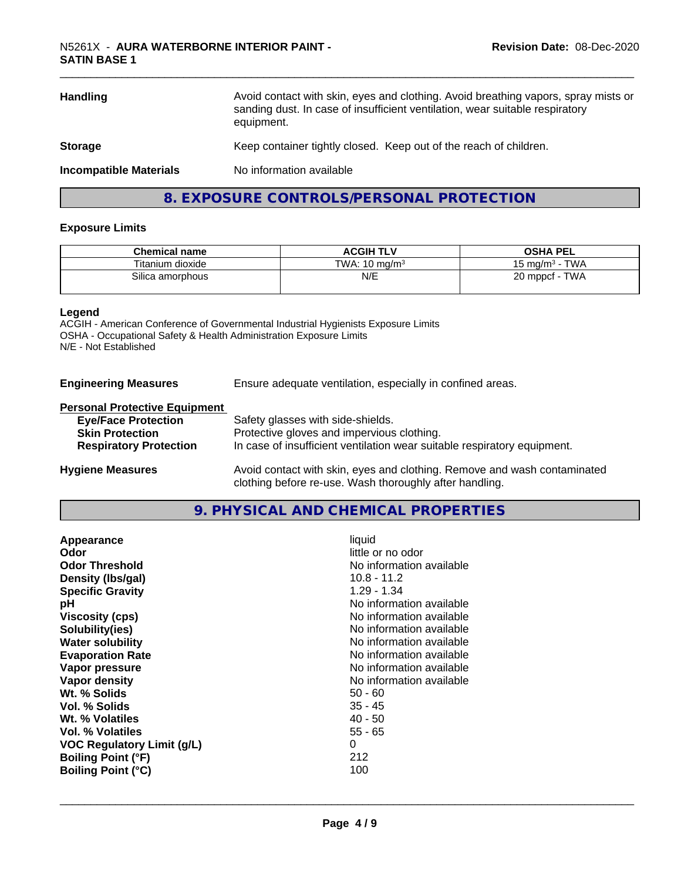## \_\_\_\_\_\_\_\_\_\_\_\_\_\_\_\_\_\_\_\_\_\_\_\_\_\_\_\_\_\_\_\_\_\_\_\_\_\_\_\_\_\_\_\_\_\_\_\_\_\_\_\_\_\_\_\_\_\_\_\_\_\_\_\_\_\_\_\_\_\_\_\_\_\_\_\_\_\_\_\_\_\_\_\_\_\_\_\_\_\_\_\_\_ N5261X - **AURA WATERBORNE INTERIOR PAINT - SATIN BASE 1**

| Avoid contact with skin, eyes and clothing. Avoid breathing vapors, spray mists or<br><b>Handling</b><br>sanding dust. In case of insufficient ventilation, wear suitable respiratory<br>equipment. |                                                                   |
|-----------------------------------------------------------------------------------------------------------------------------------------------------------------------------------------------------|-------------------------------------------------------------------|
| <b>Storage</b>                                                                                                                                                                                      | Keep container tightly closed. Keep out of the reach of children. |
| <b>Incompatible Materials</b>                                                                                                                                                                       | No information available                                          |
|                                                                                                                                                                                                     | 8. EXPOSURE CONTROLS/PERSONAL PROTECTION                          |

#### **Exposure Limits**

| <b>Chemical name</b> | <b>ACGIH TLV</b>         | <b>OSHA PEL</b>                  |
|----------------------|--------------------------|----------------------------------|
| Titanium dioxide     | TWA: $10 \text{ ma/m}^3$ | <b>TWA</b><br>15 ma/m $^{\rm 3}$ |
| Silica amorphous     | N/E                      | <b>TWA</b><br>20 mppcf           |

#### **Legend**

ACGIH - American Conference of Governmental Industrial Hygienists Exposure Limits OSHA - Occupational Safety & Health Administration Exposure Limits N/E - Not Established

**Engineering Measures** Ensure adequate ventilation, especially in confined areas.

#### **Personal Protective Equipment**

| <b>Eye/Face Protection</b>    | Safety glasses with side-shields.                                        |
|-------------------------------|--------------------------------------------------------------------------|
| <b>Skin Protection</b>        | Protective gloves and impervious clothing.                               |
| <b>Respiratory Protection</b> | In case of insufficient ventilation wear suitable respiratory equipment. |
|                               |                                                                          |

**Hygiene Measures** Avoid contact with skin, eyes and clothing. Remove and wash contaminated clothing before re-use. Wash thoroughly after handling.

#### **9. PHYSICAL AND CHEMICAL PROPERTIES**

| Appearance                        | liquid                   |
|-----------------------------------|--------------------------|
| Odor                              | little or no odor        |
| <b>Odor Threshold</b>             | No information available |
| Density (Ibs/gal)                 | $10.8 - 11.2$            |
| <b>Specific Gravity</b>           | $1.29 - 1.34$            |
| рH                                | No information available |
| <b>Viscosity (cps)</b>            | No information available |
| Solubility(ies)                   | No information available |
| <b>Water solubility</b>           | No information available |
| <b>Evaporation Rate</b>           | No information available |
| Vapor pressure                    | No information available |
| Vapor density                     | No information available |
| Wt. % Solids                      | $50 - 60$                |
| Vol. % Solids                     | $35 - 45$                |
| Wt. % Volatiles                   | $40 - 50$                |
| Vol. % Volatiles                  | $55 - 65$                |
| <b>VOC Regulatory Limit (g/L)</b> | 0                        |
| <b>Boiling Point (°F)</b>         | 212                      |
| <b>Boiling Point (°C)</b>         | 100                      |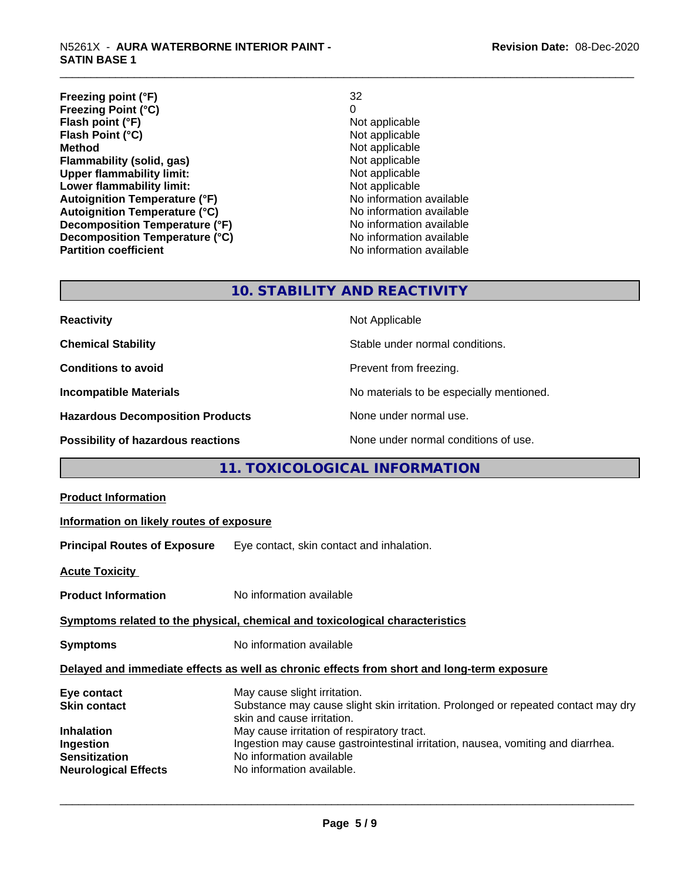| Freezing point (°F)                  | 32                       |
|--------------------------------------|--------------------------|
| <b>Freezing Point (°C)</b>           | 0                        |
| Flash point (°F)                     | Not applicable           |
| Flash Point (°C)                     | Not applicable           |
| <b>Method</b>                        | Not applicable           |
| Flammability (solid, gas)            | Not applicable           |
| <b>Upper flammability limit:</b>     | Not applicable           |
| Lower flammability limit:            | Not applicable           |
| <b>Autoignition Temperature (°F)</b> | No information available |
| <b>Autoignition Temperature (°C)</b> | No information available |
| Decomposition Temperature (°F)       | No information available |
| Decomposition Temperature (°C)       | No information available |
| <b>Partition coefficient</b>         | No information available |

### **10. STABILITY AND REACTIVITY**

| <b>Reactivity</b>                       | Not Applicable                           |
|-----------------------------------------|------------------------------------------|
| <b>Chemical Stability</b>               | Stable under normal conditions.          |
| <b>Conditions to avoid</b>              | Prevent from freezing.                   |
| <b>Incompatible Materials</b>           | No materials to be especially mentioned. |
| <b>Hazardous Decomposition Products</b> | None under normal use.                   |
| Possibility of hazardous reactions      | None under normal conditions of use.     |

#### **11. TOXICOLOGICAL INFORMATION**

| Information on likely routes of exposure                                                                                                                                                                                                                                                                                                  |  |  |
|-------------------------------------------------------------------------------------------------------------------------------------------------------------------------------------------------------------------------------------------------------------------------------------------------------------------------------------------|--|--|
| <b>Principal Routes of Exposure</b> Eye contact, skin contact and inhalation.                                                                                                                                                                                                                                                             |  |  |
|                                                                                                                                                                                                                                                                                                                                           |  |  |
| No information available                                                                                                                                                                                                                                                                                                                  |  |  |
| Symptoms related to the physical, chemical and toxicological characteristics                                                                                                                                                                                                                                                              |  |  |
| No information available                                                                                                                                                                                                                                                                                                                  |  |  |
| Delayed and immediate effects as well as chronic effects from short and long-term exposure                                                                                                                                                                                                                                                |  |  |
| May cause slight irritation.<br>Substance may cause slight skin irritation. Prolonged or repeated contact may dry<br>skin and cause irritation.<br>May cause irritation of respiratory tract.<br>Ingestion may cause gastrointestinal irritation, nausea, vomiting and diarrhea.<br>No information available<br>No information available. |  |  |
|                                                                                                                                                                                                                                                                                                                                           |  |  |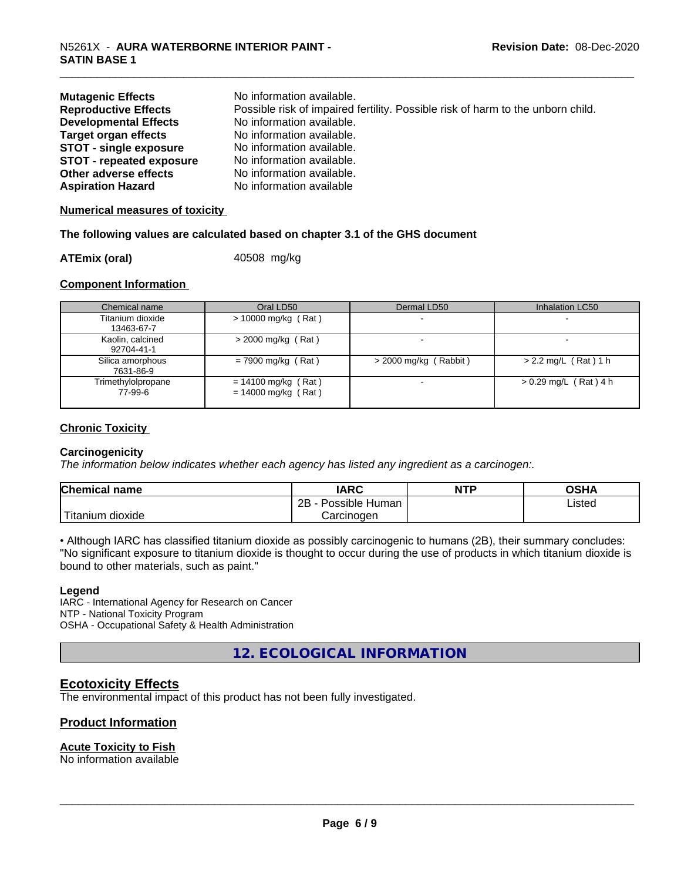| <b>Mutagenic Effects</b>        | No information available.                                                       |
|---------------------------------|---------------------------------------------------------------------------------|
| <b>Reproductive Effects</b>     | Possible risk of impaired fertility. Possible risk of harm to the unborn child. |
| <b>Developmental Effects</b>    | No information available.                                                       |
| Target organ effects            | No information available.                                                       |
| <b>STOT - single exposure</b>   | No information available.                                                       |
| <b>STOT - repeated exposure</b> | No information available.                                                       |
| Other adverse effects           | No information available.                                                       |
| <b>Aspiration Hazard</b>        | No information available                                                        |

**Numerical measures of toxicity**

#### **The following values are calculated based on chapter 3.1 of the GHS document**

#### **ATEmix (oral)** 40508 mg/kg

#### **Component Information**

| Chemical name                  | Oral LD50                                      | Dermal LD50             | Inhalation LC50         |
|--------------------------------|------------------------------------------------|-------------------------|-------------------------|
| Titanium dioxide<br>13463-67-7 | $> 10000$ mg/kg (Rat)                          |                         |                         |
| Kaolin, calcined<br>92704-41-1 | $>$ 2000 mg/kg (Rat)                           |                         |                         |
| Silica amorphous<br>7631-86-9  | $= 7900$ mg/kg (Rat)                           | $>$ 2000 mg/kg (Rabbit) | $> 2.2$ mg/L (Rat) 1 h  |
| Trimethylolpropane<br>77-99-6  | $= 14100$ mg/kg (Rat)<br>$= 14000$ mg/kg (Rat) |                         | $> 0.29$ mg/L (Rat) 4 h |

#### **Chronic Toxicity**

#### **Carcinogenicity**

*The information below indicateswhether each agency has listed any ingredient as a carcinogen:.*

| <b>Chemical</b><br>name | <b>IARC</b>                    | <b>NTP</b> | <b>OSHA</b> |
|-------------------------|--------------------------------|------------|-------------|
|                         | .<br>2B<br>Human -<br>Possible |            | Listed      |
| m dioxide<br>l itanıum  | Carcinoɑen                     |            |             |

• Although IARC has classified titanium dioxide as possibly carcinogenic to humans (2B), their summary concludes: "No significant exposure to titanium dioxide is thought to occur during the use of products in which titanium dioxide is bound to other materials, such as paint."

#### **Legend**

IARC - International Agency for Research on Cancer NTP - National Toxicity Program OSHA - Occupational Safety & Health Administration

**12. ECOLOGICAL INFORMATION**

#### **Ecotoxicity Effects**

The environmental impact of this product has not been fully investigated.

#### **Product Information**

#### **Acute Toxicity to Fish**

No information available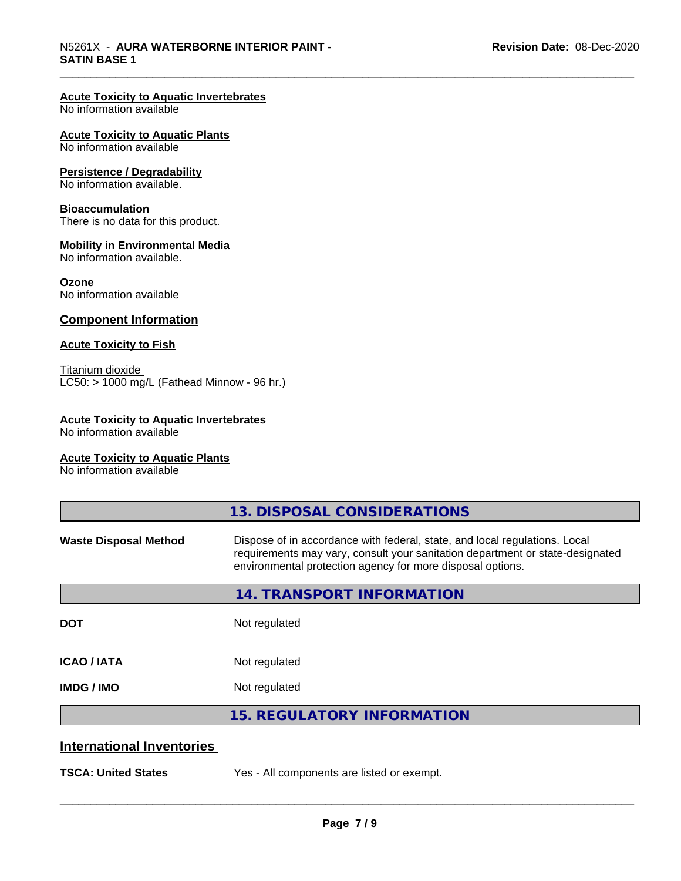#### **Acute Toxicity to Aquatic Invertebrates**

No information available

#### **Acute Toxicity to Aquatic Plants**

No information available

#### **Persistence / Degradability**

No information available.

#### **Bioaccumulation**

There is no data for this product.

#### **Mobility in Environmental Media**

No information available.

#### **Ozone**

No information available

#### **Component Information**

#### **Acute Toxicity to Fish**

Titanium dioxide  $\overline{\text{LC50:}}$  > 1000 mg/L (Fathead Minnow - 96 hr.)

#### **Acute Toxicity to Aquatic Invertebrates**

No information available

#### **Acute Toxicity to Aquatic Plants**

No information available

|                                  | 13. DISPOSAL CONSIDERATIONS                                                                                                                                                                                               |
|----------------------------------|---------------------------------------------------------------------------------------------------------------------------------------------------------------------------------------------------------------------------|
| <b>Waste Disposal Method</b>     | Dispose of in accordance with federal, state, and local regulations. Local<br>requirements may vary, consult your sanitation department or state-designated<br>environmental protection agency for more disposal options. |
|                                  | <b>14. TRANSPORT INFORMATION</b>                                                                                                                                                                                          |
| <b>DOT</b>                       | Not regulated                                                                                                                                                                                                             |
| <b>ICAO / IATA</b>               | Not regulated                                                                                                                                                                                                             |
| <b>IMDG/IMO</b>                  | Not regulated                                                                                                                                                                                                             |
|                                  | <b>15. REGULATORY INFORMATION</b>                                                                                                                                                                                         |
| <b>International Inventories</b> |                                                                                                                                                                                                                           |
| <b>TSCA: United States</b>       | Yes - All components are listed or exempt.                                                                                                                                                                                |
|                                  |                                                                                                                                                                                                                           |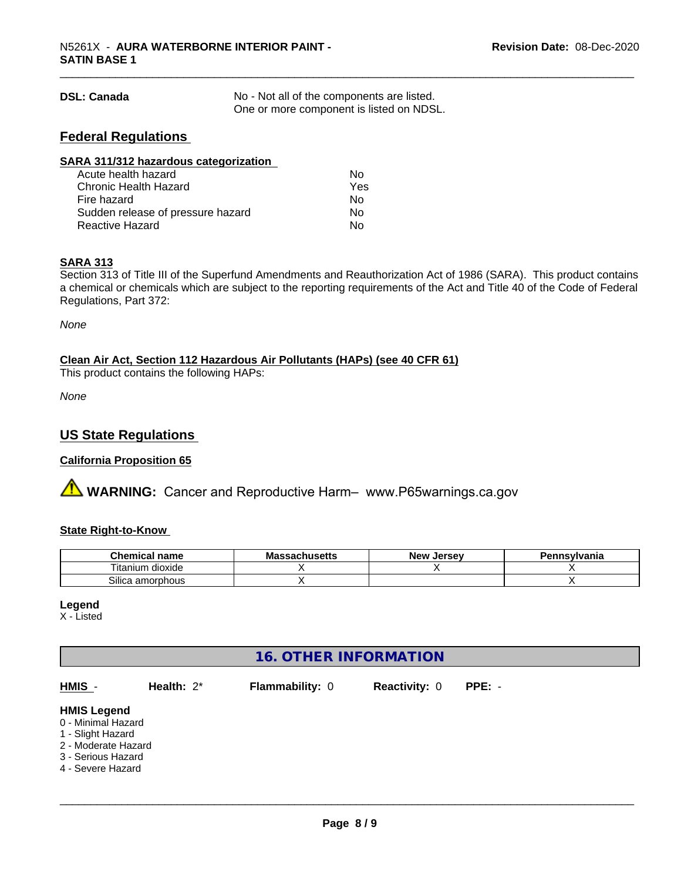| <b>DSL: Canada</b> | No - Not all of the components are listed. |
|--------------------|--------------------------------------------|
|                    | One or more component is listed on NDSL.   |

#### **Federal Regulations**

| SARA 311/312 hazardous categorization |     |  |
|---------------------------------------|-----|--|
| Acute health hazard                   | Nο  |  |
| Chronic Health Hazard                 | Yes |  |
| Fire hazard                           | Nο  |  |
| Sudden release of pressure hazard     | Nο  |  |
| <b>Reactive Hazard</b>                | No  |  |

#### **SARA 313**

Section 313 of Title III of the Superfund Amendments and Reauthorization Act of 1986 (SARA). This product contains a chemical or chemicals which are subject to the reporting requirements of the Act and Title 40 of the Code of Federal Regulations, Part 372:

*None*

**Clean Air Act,Section 112 Hazardous Air Pollutants (HAPs) (see 40 CFR 61)**

This product contains the following HAPs:

*None*

#### **US State Regulations**

#### **California Proposition 65**

**AVIMARNING:** Cancer and Reproductive Harm– www.P65warnings.ca.gov

#### **State Right-to-Know**

| hemical name                | Мi<br>naunustus | <b>Jerse</b> v<br><b>Nev</b> | าทรงIvania |
|-----------------------------|-----------------|------------------------------|------------|
| ÷.<br>dioxide<br>l itanium. |                 |                              |            |
| Silica<br>amorphous         |                 |                              |            |

#### **Legend**

X - Listed

#### **16. OTHER INFORMATION**

| HMIS -<br>Health: $2^*$                                                                                                         |  | $PPE: -$ |  |
|---------------------------------------------------------------------------------------------------------------------------------|--|----------|--|
| <b>HMIS Legend</b><br>0 - Minimal Hazard<br>1 - Slight Hazard<br>2 - Moderate Hazard<br>3 - Serious Hazard<br>4 - Severe Hazard |  |          |  |